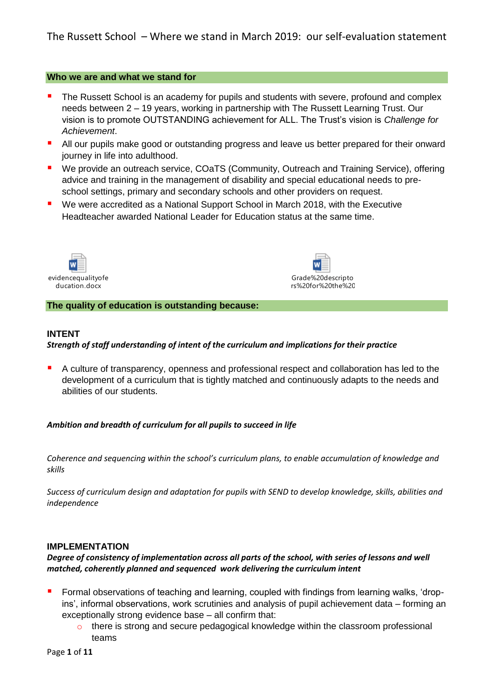#### **Who we are and what we stand for**

- The Russett School is an academy for pupils and students with severe, profound and complex needs between 2 – 19 years, working in partnership with The Russett Learning Trust. Our vision is to promote OUTSTANDING achievement for ALL. The Trust's vision is *Challenge for Achievement*.
- All our pupils make good or outstanding progress and leave us better prepared for their onward journey in life into adulthood.
- We provide an outreach service, COaTS (Community, Outreach and Training Service), offering advice and training in the management of disability and special educational needs to preschool settings, primary and secondary schools and other providers on request.
- We were accredited as a National Support School in March 2018, with the Executive Headteacher awarded National Leader for Education status at the same time.





**The quality of education is outstanding because:**

#### **INTENT**

### *Strength of staff understanding of intent of the curriculum and implications for their practice*

A culture of transparency, openness and professional respect and collaboration has led to the development of a curriculum that is tightly matched and continuously adapts to the needs and abilities of our students.

#### *Ambition and breadth of curriculum for all pupils to succeed in life*

*Coherence and sequencing within the school's curriculum plans, to enable accumulation of knowledge and skills*

*Success of curriculum design and adaptation for pupils with SEND to develop knowledge, skills, abilities and independence*

#### **IMPLEMENTATION**

### *Degree of consistency of implementation across all parts of the school, with series of lessons and well matched, coherently planned and sequenced work delivering the curriculum intent*

- Formal observations of teaching and learning, coupled with findings from learning walks, 'dropins', informal observations, work scrutinies and analysis of pupil achievement data – forming an exceptionally strong evidence base – all confirm that:
	- o there is strong and secure pedagogical knowledge within the classroom professional teams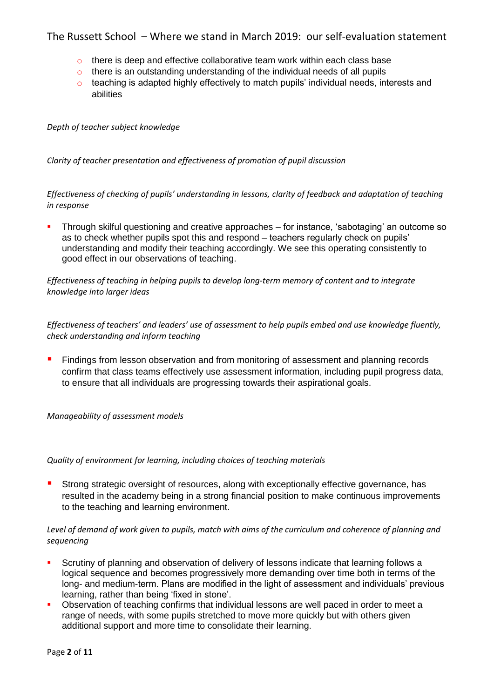- o there is deep and effective collaborative team work within each class base
- o there is an outstanding understanding of the individual needs of all pupils
- o teaching is adapted highly effectively to match pupils' individual needs, interests and abilities

*Depth of teacher subject knowledge*

*Clarity of teacher presentation and effectiveness of promotion of pupil discussion*

*Effectiveness of checking of pupils' understanding in lessons, clarity of feedback and adaptation of teaching in response* 

**•** Through skilful questioning and creative approaches – for instance, 'sabotaging' an outcome so as to check whether pupils spot this and respond – teachers regularly check on pupils' understanding and modify their teaching accordingly. We see this operating consistently to good effect in our observations of teaching.

*Effectiveness of teaching in helping pupils to develop long-term memory of content and to integrate knowledge into larger ideas*

*Effectiveness of teachers' and leaders' use of assessment to help pupils embed and use knowledge fluently, check understanding and inform teaching*

**EXECT** Findings from lesson observation and from monitoring of assessment and planning records confirm that class teams effectively use assessment information, including pupil progress data, to ensure that all individuals are progressing towards their aspirational goals.

*Manageability of assessment models*

*Quality of environment for learning, including choices of teaching materials*

**E** Strong strategic oversight of resources, along with exceptionally effective governance, has resulted in the academy being in a strong financial position to make continuous improvements to the teaching and learning environment.

*Level of demand of work given to pupils, match with aims of the curriculum and coherence of planning and sequencing*

- **•** Scrutiny of planning and observation of delivery of lessons indicate that learning follows a logical sequence and becomes progressively more demanding over time both in terms of the long- and medium-term. Plans are modified in the light of assessment and individuals' previous learning, rather than being 'fixed in stone'.
- Observation of teaching confirms that individual lessons are well paced in order to meet a range of needs, with some pupils stretched to move more quickly but with others given additional support and more time to consolidate their learning.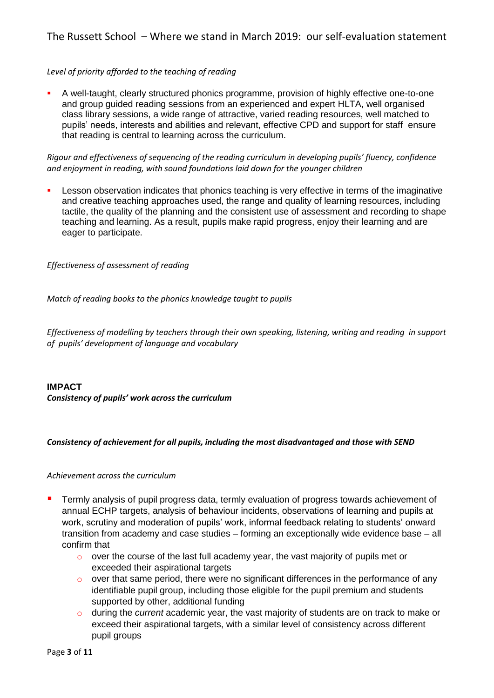# *Level of priority afforded to the teaching of reading*

▪ A well-taught, clearly structured phonics programme, provision of highly effective one-to-one and group guided reading sessions from an experienced and expert HLTA, well organised class library sessions, a wide range of attractive, varied reading resources, well matched to pupils' needs, interests and abilities and relevant, effective CPD and support for staff ensure that reading is central to learning across the curriculum.

*Rigour and effectiveness of sequencing of the reading curriculum in developing pupils' fluency, confidence and enjoyment in reading, with sound foundations laid down for the younger children*

**EXECT** Lesson observation indicates that phonics teaching is very effective in terms of the imaginative and creative teaching approaches used, the range and quality of learning resources, including tactile, the quality of the planning and the consistent use of assessment and recording to shape teaching and learning. As a result, pupils make rapid progress, enjoy their learning and are eager to participate.

*Effectiveness of assessment of reading*

*Match of reading books to the phonics knowledge taught to pupils*

*Effectiveness of modelling by teachers through their own speaking, listening, writing and reading in support of pupils' development of language and vocabulary*

**IMPACT** *Consistency of pupils' work across the curriculum*

#### *Consistency of achievement for all pupils, including the most disadvantaged and those with SEND*

#### *Achievement across the curriculum*

- Termly analysis of pupil progress data, termly evaluation of progress towards achievement of annual ECHP targets, analysis of behaviour incidents, observations of learning and pupils at work, scrutiny and moderation of pupils' work, informal feedback relating to students' onward transition from academy and case studies – forming an exceptionally wide evidence base – all confirm that
	- $\circ$  over the course of the last full academy year, the vast majority of pupils met or exceeded their aspirational targets
	- $\circ$  over that same period, there were no significant differences in the performance of any identifiable pupil group, including those eligible for the pupil premium and students supported by other, additional funding
	- o during the *current* academic year, the vast majority of students are on track to make or exceed their aspirational targets, with a similar level of consistency across different pupil groups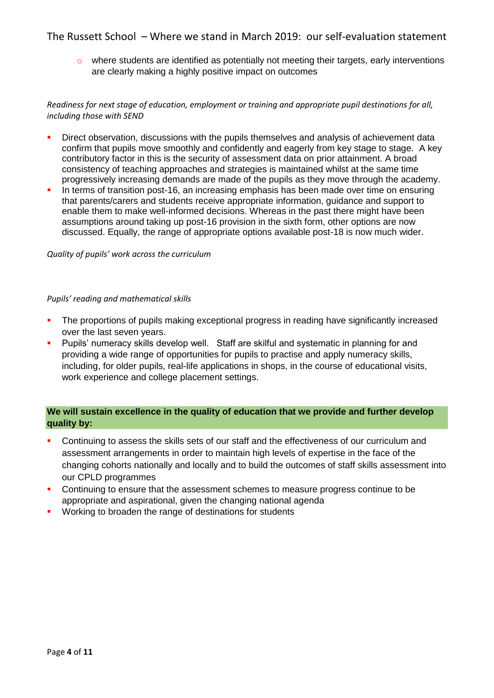o where students are identified as potentially not meeting their targets, early interventions are clearly making a highly positive impact on outcomes

### *Readiness for next stage of education, employment or training and appropriate pupil destinations for all, including those with SEND*

- **•** Direct observation, discussions with the pupils themselves and analysis of achievement data confirm that pupils move smoothly and confidently and eagerly from key stage to stage. A key contributory factor in this is the security of assessment data on prior attainment. A broad consistency of teaching approaches and strategies is maintained whilst at the same time progressively increasing demands are made of the pupils as they move through the academy.
- In terms of transition post-16, an increasing emphasis has been made over time on ensuring that parents/carers and students receive appropriate information, guidance and support to enable them to make well-informed decisions. Whereas in the past there might have been assumptions around taking up post-16 provision in the sixth form, other options are now discussed. Equally, the range of appropriate options available post-18 is now much wider.

#### *Quality of pupils' work across the curriculum*

#### *Pupils' reading and mathematical skills*

- **•** The proportions of pupils making exceptional progress in reading have significantly increased over the last seven years.
- **•** Pupils' numeracy skills develop well. Staff are skilful and systematic in planning for and providing a wide range of opportunities for pupils to practise and apply numeracy skills, including, for older pupils, real-life applications in shops, in the course of educational visits, work experience and college placement settings.

# **We will sustain excellence in the quality of education that we provide and further develop quality by:**

- Continuing to assess the skills sets of our staff and the effectiveness of our curriculum and assessment arrangements in order to maintain high levels of expertise in the face of the changing cohorts nationally and locally and to build the outcomes of staff skills assessment into our CPLD programmes
- **Continuing to ensure that the assessment schemes to measure progress continue to be** appropriate and aspirational, given the changing national agenda
- Working to broaden the range of destinations for students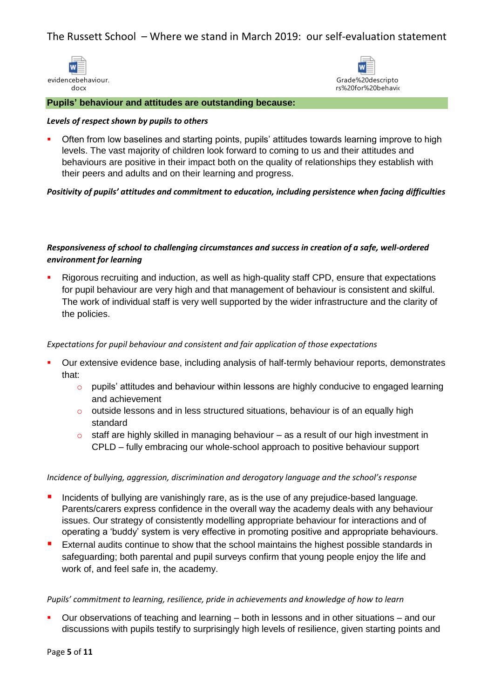



l **Pupils' behaviour and attitudes are outstanding because:**

#### *Levels of respect shown by pupils to others*

**•** Often from low baselines and starting points, pupils' attitudes towards learning improve to high levels. The vast majority of children look forward to coming to us and their attitudes and behaviours are positive in their impact both on the quality of relationships they establish with their peers and adults and on their learning and progress.

### *Positivity of pupils' attitudes and commitment to education, including persistence when facing difficulties*

# *Responsiveness of school to challenging circumstances and success in creation of a safe, well-ordered environment for learning*

Rigorous recruiting and induction, as well as high-quality staff CPD, ensure that expectations for pupil behaviour are very high and that management of behaviour is consistent and skilful. The work of individual staff is very well supported by the wider infrastructure and the clarity of the policies.

### *Expectations for pupil behaviour and consistent and fair application of those expectations*

- Our extensive evidence base, including analysis of half-termly behaviour reports, demonstrates that:
	- o pupils' attitudes and behaviour within lessons are highly conducive to engaged learning and achievement
	- o outside lessons and in less structured situations, behaviour is of an equally high standard
	- $\circ$  staff are highly skilled in managing behaviour as a result of our high investment in CPLD – fully embracing our whole-school approach to positive behaviour support

#### *Incidence of bullying, aggression, discrimination and derogatory language and the school's response*

- **E** Incidents of bullying are vanishingly rare, as is the use of any prejudice-based language. Parents/carers express confidence in the overall way the academy deals with any behaviour issues. Our strategy of consistently modelling appropriate behaviour for interactions and of operating a 'buddy' system is very effective in promoting positive and appropriate behaviours.
- **EXTERFERIM** External audits continue to show that the school maintains the highest possible standards in safeguarding; both parental and pupil surveys confirm that young people enjoy the life and work of, and feel safe in, the academy.

#### *Pupils' commitment to learning, resilience, pride in achievements and knowledge of how to learn*

■ Our observations of teaching and learning – both in lessons and in other situations – and our discussions with pupils testify to surprisingly high levels of resilience, given starting points and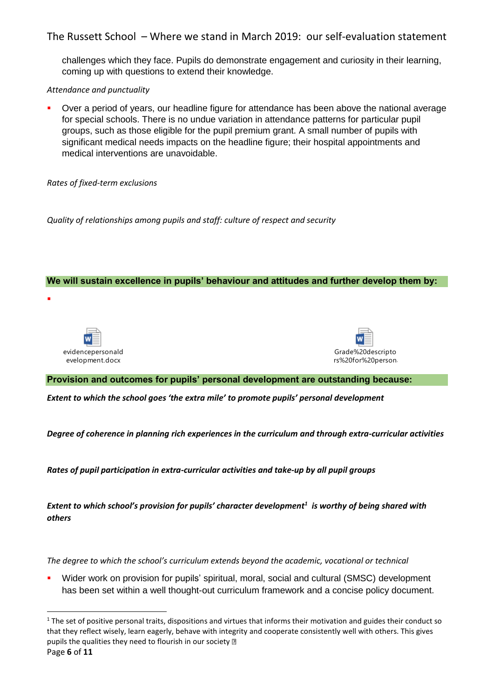challenges which they face. Pupils do demonstrate engagement and curiosity in their learning, coming up with questions to extend their knowledge.

# *Attendance and punctuality*

Over a period of years, our headline figure for attendance has been above the national average for special schools. There is no undue variation in attendance patterns for particular pupil groups, such as those eligible for the pupil premium grant. A small number of pupils with significant medical needs impacts on the headline figure; their hospital appointments and medical interventions are unavoidable.

# *Rates of fixed-term exclusions*

*Quality of relationships among pupils and staff: culture of respect and security*

# **We will sustain excellence in pupils' behaviour and attitudes and further develop them by:**



▪

**.** 



# **Provision and outcomes for pupils' personal development are outstanding because:**

*Extent to which the school goes 'the extra mile' to promote pupils' personal development*

*Degree of coherence in planning rich experiences in the curriculum and through extra-curricular activities*

*Rates of pupil participation in extra-curricular activities and take-up by all pupil groups*

*Extent to which school's provision for pupils' character development<sup>1</sup> is worthy of being shared with others*

*The degree to which the school's curriculum extends beyond the academic, vocational or technical*

Wider work on provision for pupils' spiritual, moral, social and cultural (SMSC) development has been set within a well thought-out curriculum framework and a concise policy document.

Page **6** of **11**   $1$  The set of positive personal traits, dispositions and virtues that informs their motivation and guides their conduct so that they reflect wisely, learn eagerly, behave with integrity and cooperate consistently well with others. This gives pupils the qualities they need to flourish in our society  $\mathbb D$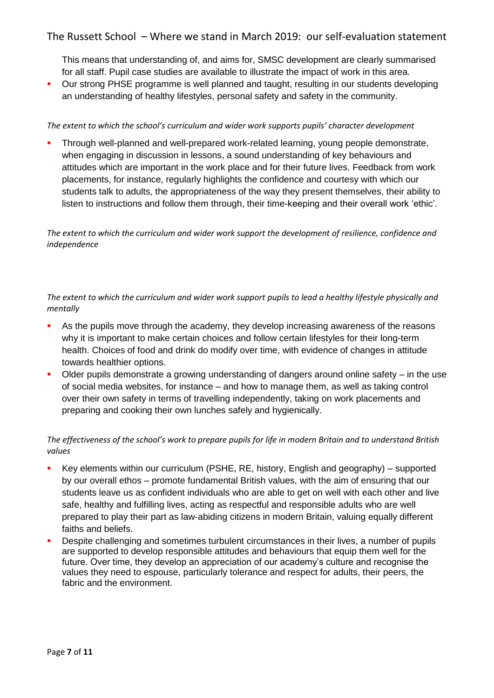This means that understanding of, and aims for, SMSC development are clearly summarised for all staff. Pupil case studies are available to illustrate the impact of work in this area.

■ Our strong PHSE programme is well planned and taught, resulting in our students developing an understanding of healthy lifestyles, personal safety and safety in the community.

### *The extent to which the school's curriculum and wider work supports pupils' character development*

Through well-planned and well-prepared work-related learning, young people demonstrate, when engaging in discussion in lessons, a sound understanding of key behaviours and attitudes which are important in the work place and for their future lives. Feedback from work placements, for instance, regularly highlights the confidence and courtesy with which our students talk to adults, the appropriateness of the way they present themselves, their ability to listen to instructions and follow them through, their time-keeping and their overall work 'ethic'.

*The extent to which the curriculum and wider work support the development of resilience, confidence and independence*

*The extent to which the curriculum and wider work support pupils to lead a healthy lifestyle physically and mentally*

- **EXT** As the pupils move through the academy, they develop increasing awareness of the reasons why it is important to make certain choices and follow certain lifestyles for their long-term health. Choices of food and drink do modify over time, with evidence of changes in attitude towards healthier options.
- Older pupils demonstrate a growing understanding of dangers around online safety in the use of social media websites, for instance – and how to manage them, as well as taking control over their own safety in terms of travelling independently, taking on work placements and preparing and cooking their own lunches safely and hygienically.

# *The effectiveness of the school's work to prepare pupils for life in modern Britain and to understand British values*

- Key elements within our curriculum (PSHE, RE, history, English and geography) supported by our overall ethos – promote fundamental British values, with the aim of ensuring that our students leave us as confident individuals who are able to get on well with each other and live safe, healthy and fulfilling lives, acting as respectful and responsible adults who are well prepared to play their part as law-abiding citizens in modern Britain, valuing equally different faiths and beliefs.
- Despite challenging and sometimes turbulent circumstances in their lives, a number of pupils are supported to develop responsible attitudes and behaviours that equip them well for the future. Over time, they develop an appreciation of our academy's culture and recognise the values they need to espouse, particularly tolerance and respect for adults, their peers, the fabric and the environment.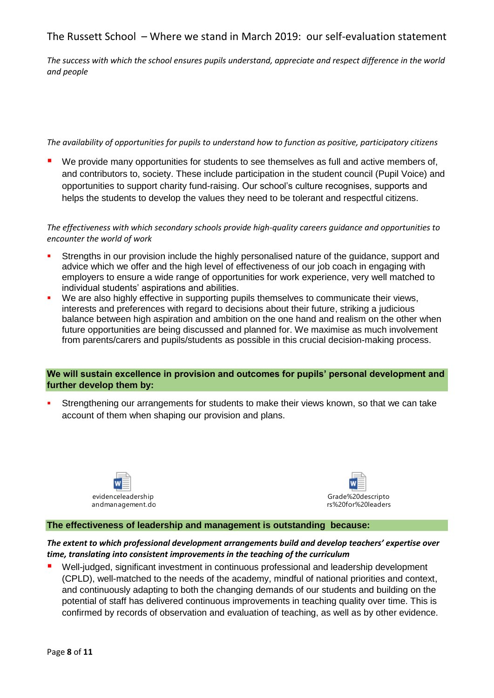*The success with which the school ensures pupils understand, appreciate and respect difference in the world and people*

### *The availability of opportunities for pupils to understand how to function as positive, participatory citizens*

We provide many opportunities for students to see themselves as full and active members of, and contributors to, society. These include participation in the student council (Pupil Voice) and opportunities to support charity fund-raising. Our school's culture recognises, supports and helps the students to develop the values they need to be tolerant and respectful citizens.

*The effectiveness with which secondary schools provide high-quality careers guidance and opportunities to encounter the world of work*

- Strengths in our provision include the highly personalised nature of the guidance, support and advice which we offer and the high level of effectiveness of our job coach in engaging with employers to ensure a wide range of opportunities for work experience, very well matched to individual students' aspirations and abilities.
- We are also highly effective in supporting pupils themselves to communicate their views, interests and preferences with regard to decisions about their future, striking a judicious balance between high aspiration and ambition on the one hand and realism on the other when future opportunities are being discussed and planned for. We maximise as much involvement from parents/carers and pupils/students as possible in this crucial decision-making process.

### **We will sustain excellence in provision and outcomes for pupils' personal development and further develop them by:**

Strengthening our arrangements for students to make their views known, so that we can take account of them when shaping our provision and plans.





# **The effectiveness of leadership and management is outstanding because:**

# *The extent to which professional development arrangements build and develop teachers' expertise over time, translating into consistent improvements in the teaching of the curriculum*

Well-judged, significant investment in continuous professional and leadership development (CPLD), well-matched to the needs of the academy, mindful of national priorities and context, and continuously adapting to both the changing demands of our students and building on the potential of staff has delivered continuous improvements in teaching quality over time. This is confirmed by records of observation and evaluation of teaching, as well as by other evidence.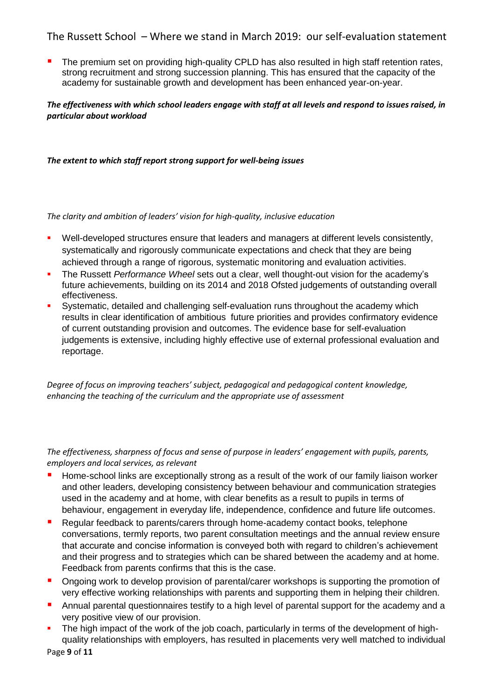■ The premium set on providing high-quality CPLD has also resulted in high staff retention rates, strong recruitment and strong succession planning. This has ensured that the capacity of the academy for sustainable growth and development has been enhanced year-on-year.

### *The effectiveness with which school leaders engage with staff at all levels and respond to issues raised, in particular about workload*

*The extent to which staff report strong support for well-being issues*

*The clarity and ambition of leaders' vision for high-quality, inclusive education*

- **•** Well-developed structures ensure that leaders and managers at different levels consistently, systematically and rigorously communicate expectations and check that they are being achieved through a range of rigorous, systematic monitoring and evaluation activities.
- The Russett *Performance Wheel* sets out a clear, well thought-out vision for the academy's future achievements, building on its 2014 and 2018 Ofsted judgements of outstanding overall effectiveness.
- **•** Systematic, detailed and challenging self-evaluation runs throughout the academy which results in clear identification of ambitious future priorities and provides confirmatory evidence of current outstanding provision and outcomes. The evidence base for self-evaluation judgements is extensive, including highly effective use of external professional evaluation and reportage.

*Degree of focus on improving teachers' subject, pedagogical and pedagogical content knowledge, enhancing the teaching of the curriculum and the appropriate use of assessment*

*The effectiveness, sharpness of focus and sense of purpose in leaders' engagement with pupils, parents, employers and local services, as relevant*

- Home-school links are exceptionally strong as a result of the work of our family liaison worker and other leaders, developing consistency between behaviour and communication strategies used in the academy and at home, with clear benefits as a result to pupils in terms of behaviour, engagement in everyday life, independence, confidence and future life outcomes.
- Regular feedback to parents/carers through home-academy contact books, telephone conversations, termly reports, two parent consultation meetings and the annual review ensure that accurate and concise information is conveyed both with regard to children's achievement and their progress and to strategies which can be shared between the academy and at home. Feedback from parents confirms that this is the case.
- Ongoing work to develop provision of parental/carer workshops is supporting the promotion of very effective working relationships with parents and supporting them in helping their children.
- Annual parental questionnaires testify to a high level of parental support for the academy and a very positive view of our provision.
- The high impact of the work of the job coach, particularly in terms of the development of highquality relationships with employers, has resulted in placements very well matched to individual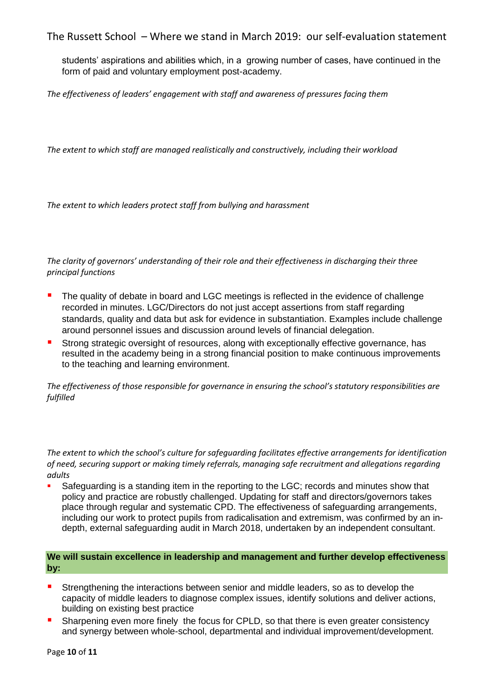students' aspirations and abilities which, in a growing number of cases, have continued in the form of paid and voluntary employment post-academy.

*The effectiveness of leaders' engagement with staff and awareness of pressures facing them*

*The extent to which staff are managed realistically and constructively, including their workload*

*The extent to which leaders protect staff from bullying and harassment*

*The clarity of governors' understanding of their role and their effectiveness in discharging their three principal functions*

- The quality of debate in board and LGC meetings is reflected in the evidence of challenge recorded in minutes. LGC/Directors do not just accept assertions from staff regarding standards, quality and data but ask for evidence in substantiation. Examples include challenge around personnel issues and discussion around levels of financial delegation.
- Strong strategic oversight of resources, along with exceptionally effective governance, has resulted in the academy being in a strong financial position to make continuous improvements to the teaching and learning environment.

*The effectiveness of those responsible for governance in ensuring the school's statutory responsibilities are fulfilled*

*The extent to which the school's culture for safeguarding facilitates effective arrangements for identification of need, securing support or making timely referrals, managing safe recruitment and allegations regarding adults*

Safeguarding is a standing item in the reporting to the LGC; records and minutes show that policy and practice are robustly challenged. Updating for staff and directors/governors takes place through regular and systematic CPD. The effectiveness of safeguarding arrangements, including our work to protect pupils from radicalisation and extremism, was confirmed by an indepth, external safeguarding audit in March 2018, undertaken by an independent consultant.

### **We will sustain excellence in leadership and management and further develop effectiveness by:**

- **E** Strengthening the interactions between senior and middle leaders, so as to develop the capacity of middle leaders to diagnose complex issues, identify solutions and deliver actions, building on existing best practice
- Sharpening even more finely the focus for CPLD, so that there is even greater consistency and synergy between whole-school, departmental and individual improvement/development.